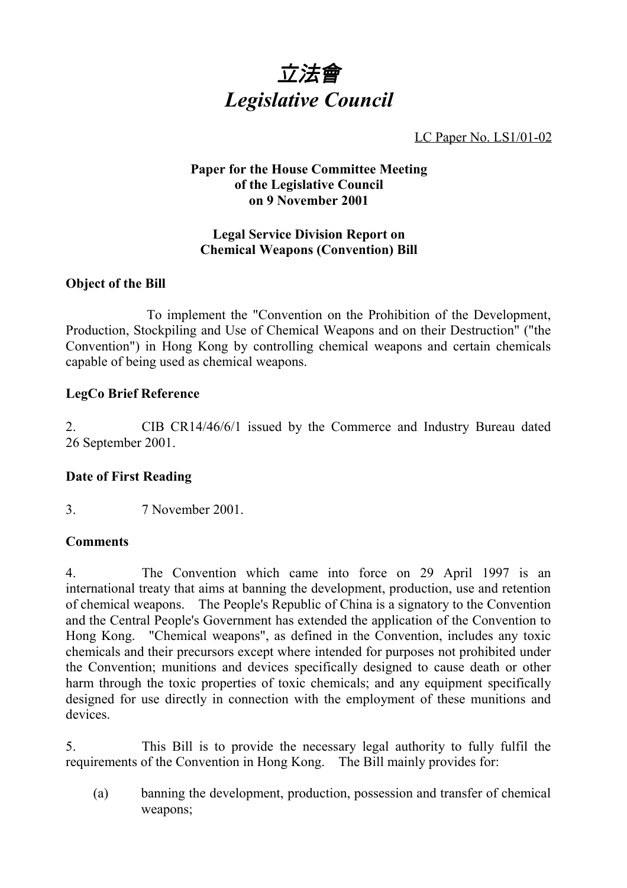

LC Paper No. LS1/01-02

## **Paper for the House Committee Meeting of the Legislative Council on 9 November 2001**

# **Legal Service Division Report on Chemical Weapons (Convention) Bill**

# **Object of the Bill**

 To implement the "Convention on the Prohibition of the Development, Production, Stockpiling and Use of Chemical Weapons and on their Destruction" ("the Convention") in Hong Kong by controlling chemical weapons and certain chemicals capable of being used as chemical weapons.

# **LegCo Brief Reference**

2. CIB CR14/46/6/1 issued by the Commerce and Industry Bureau dated 26 September 2001.

# **Date of First Reading**

3. 7 November 2001.

## **Comments**

4. The Convention which came into force on 29 April 1997 is an international treaty that aims at banning the development, production, use and retention of chemical weapons. The People's Republic of China is a signatory to the Convention and the Central People's Government has extended the application of the Convention to Hong Kong. "Chemical weapons", as defined in the Convention, includes any toxic chemicals and their precursors except where intended for purposes not prohibited under the Convention; munitions and devices specifically designed to cause death or other harm through the toxic properties of toxic chemicals; and any equipment specifically designed for use directly in connection with the employment of these munitions and devices.

5. This Bill is to provide the necessary legal authority to fully fulfil the requirements of the Convention in Hong Kong. The Bill mainly provides for:

(a) banning the development, production, possession and transfer of chemical weapons;